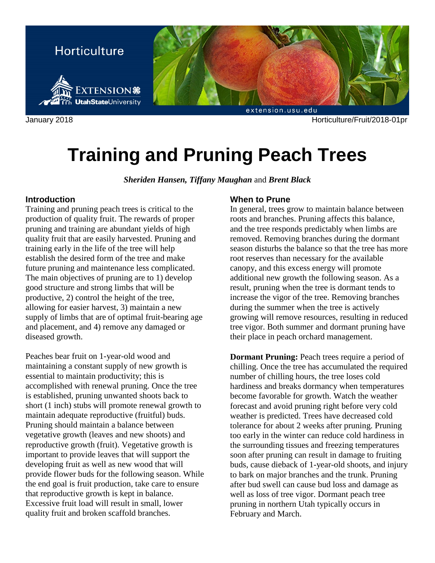

January 2018 Horticulture/Fruit/2018-01pr

# **Training and Pruning Peach Trees**

*Sheriden Hansen, Tiffany Maughan* and *Brent Black*

## **Introduction**

Training and pruning peach trees is critical to the production of quality fruit. The rewards of proper pruning and training are abundant yields of high quality fruit that are easily harvested. Pruning and training early in the life of the tree will help establish the desired form of the tree and make future pruning and maintenance less complicated. The main objectives of pruning are to 1) develop good structure and strong limbs that will be productive, 2) control the height of the tree, allowing for easier harvest, 3) maintain a new supply of limbs that are of optimal fruit-bearing age and placement, and 4) remove any damaged or diseased growth.

Peaches bear fruit on 1-year-old wood and maintaining a constant supply of new growth is essential to maintain productivity; this is accomplished with renewal pruning. Once the tree is established, pruning unwanted shoots back to short (1 inch) stubs will promote renewal growth to maintain adequate reproductive (fruitful) buds. Pruning should maintain a balance between vegetative growth (leaves and new shoots) and reproductive growth (fruit). Vegetative growth is important to provide leaves that will support the developing fruit as well as new wood that will provide flower buds for the following season. While the end goal is fruit production, take care to ensure that reproductive growth is kept in balance. Excessive fruit load will result in small, lower quality fruit and broken scaffold branches.

## **When to Prune**

In general, trees grow to maintain balance between roots and branches. Pruning affects this balance, and the tree responds predictably when limbs are removed. Removing branches during the dormant season disturbs the balance so that the tree has more root reserves than necessary for the available canopy, and this excess energy will promote additional new growth the following season. As a result, pruning when the tree is dormant tends to increase the vigor of the tree. Removing branches during the summer when the tree is actively growing will remove resources, resulting in reduced tree vigor. Both summer and dormant pruning have their place in peach orchard management.

**Dormant Pruning:** Peach trees require a period of chilling. Once the tree has accumulated the required number of chilling hours, the tree loses cold hardiness and breaks dormancy when temperatures become favorable for growth. Watch the weather forecast and avoid pruning right before very cold weather is predicted. Trees have decreased cold tolerance for about 2 weeks after pruning. Pruning too early in the winter can reduce cold hardiness in the surrounding tissues and freezing temperatures soon after pruning can result in damage to fruiting buds, cause dieback of 1-year-old shoots, and injury to bark on major branches and the trunk. Pruning after bud swell can cause bud loss and damage as well as loss of tree vigor. Dormant peach tree pruning in northern Utah typically occurs in February and March.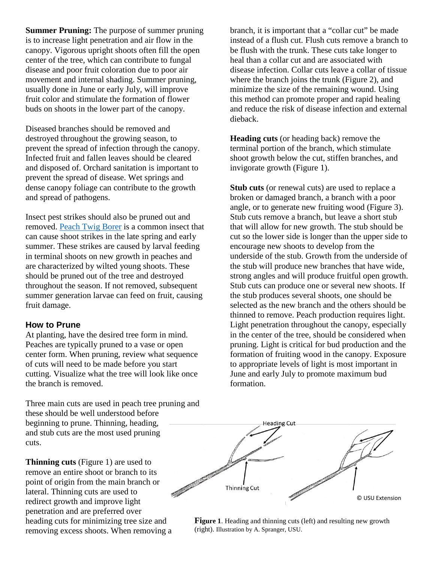**Summer Pruning:** The purpose of summer pruning is to increase light penetration and air flow in the canopy. Vigorous upright shoots often fill the open center of the tree, which can contribute to fungal disease and poor fruit coloration due to poor air movement and internal shading. Summer pruning, usually done in June or early July, will improve fruit color and stimulate the formation of flower buds on shoots in the lower part of the canopy.

Diseased branches should be removed and destroyed throughout the growing season, to prevent the spread of infection through the canopy. Infected fruit and fallen leaves should be cleared and disposed of. Orchard sanitation is important to prevent the spread of disease. Wet springs and dense canopy foliage can contribute to the growth and spread of pathogens.

Insect pest strikes should also be pruned out and removed. [Peach Twig Borer](http://digitalcommons.usu.edu/cgi/viewcontent.cgi?article=1652&context=extension_curall) is a common insect that can cause shoot strikes in the late spring and early summer. These strikes are caused by larval feeding in terminal shoots on new growth in peaches and are characterized by wilted young shoots. These should be pruned out of the tree and destroyed throughout the season. If not removed, subsequent summer generation larvae can feed on fruit, causing fruit damage.

#### **How to Prune**

At planting, have the desired tree form in mind. Peaches are typically pruned to a vase or open center form. When pruning, review what sequence of cuts will need to be made before you start cutting. Visualize what the tree will look like once the branch is removed.

Three main cuts are used in peach tree pruning and these should be well understood before beginning to prune. Thinning, heading, and stub cuts are the most used pruning cuts.

**Thinning cuts** (Figure 1) are used to remove an entire shoot or branch to its point of origin from the main branch or lateral. Thinning cuts are used to redirect growth and improve light penetration and are preferred over heading cuts for minimizing tree size and removing excess shoots. When removing a branch, it is important that a "collar cut" be made instead of a flush cut. Flush cuts remove a branch to be flush with the trunk. These cuts take longer to heal than a collar cut and are associated with disease infection. Collar cuts leave a collar of tissue where the branch joins the trunk (Figure 2), and minimize the size of the remaining wound. Using this method can promote proper and rapid healing and reduce the risk of disease infection and external dieback.

**Heading cuts** (or heading back) remove the terminal portion of the branch, which stimulate shoot growth below the cut, stiffen branches, and invigorate growth (Figure 1).

**Stub cuts** (or renewal cuts) are used to replace a broken or damaged branch, a branch with a poor angle, or to generate new fruiting wood (Figure 3). Stub cuts remove a branch, but leave a short stub that will allow for new growth. The stub should be cut so the lower side is longer than the upper side to encourage new shoots to develop from the underside of the stub. Growth from the underside of the stub will produce new branches that have wide, strong angles and will produce fruitful open growth. Stub cuts can produce one or several new shoots. If the stub produces several shoots, one should be selected as the new branch and the others should be thinned to remove. Peach production requires light. Light penetration throughout the canopy, especially in the center of the tree, should be considered when pruning. Light is critical for bud production and the formation of fruiting wood in the canopy. Exposure to appropriate levels of light is most important in June and early July to promote maximum bud formation.



**Figure 1.** Heading and thinning cuts (left) and resulting new growth (right). Illustration by A. Spranger, USU.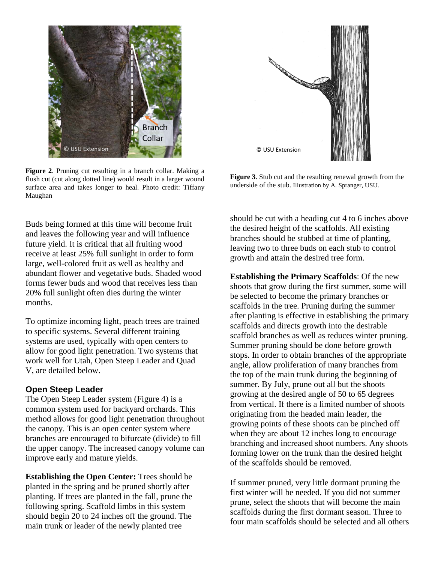

**Figure 2**. Pruning cut resulting in a branch collar. Making a flush cut (cut along dotted line) would result in a larger wound surface area and takes longer to heal. Photo credit: Tiffany Maughan

Buds being formed at this time will become fruit and leaves the following year and will influence future yield. It is critical that all fruiting wood receive at least 25% full sunlight in order to form large, well-colored fruit as well as healthy and abundant flower and vegetative buds. Shaded wood forms fewer buds and wood that receives less than 20% full sunlight often dies during the winter months.

To optimize incoming light, peach trees are trained to specific systems. Several different training systems are used, typically with open centers to allow for good light penetration. Two systems that work well for Utah, Open Steep Leader and Quad V, are detailed below.

### **Open Steep Leader**

The Open Steep Leader system (Figure 4) is a common system used for backyard orchards. This method allows for good light penetration throughout the canopy. This is an open center system where branches are encouraged to bifurcate (divide) to fill the upper canopy. The increased canopy volume can improve early and mature yields.

**Establishing the Open Center:** Trees should be planted in the spring and be pruned shortly after planting. If trees are planted in the fall, prune the following spring. Scaffold limbs in this system should begin 20 to 24 inches off the ground. The main trunk or leader of the newly planted tree



**Figure 3**. Stub cut and the resulting renewal growth from the underside of the stub. Illustration by A. Spranger, USU.

should be cut with a heading cut 4 to 6 inches above the desired height of the scaffolds. All existing branches should be stubbed at time of planting, leaving two to three buds on each stub to control growth and attain the desired tree form.

**Establishing the Primary Scaffolds**: Of the new shoots that grow during the first summer, some will be selected to become the primary branches or scaffolds in the tree. Pruning during the summer after planting is effective in establishing the primary scaffolds and directs growth into the desirable scaffold branches as well as reduces winter pruning. Summer pruning should be done before growth stops. In order to obtain branches of the appropriate angle, allow proliferation of many branches from the top of the main trunk during the beginning of summer. By July, prune out all but the shoots growing at the desired angle of 50 to 65 degrees from vertical. If there is a limited number of shoots originating from the headed main leader, the growing points of these shoots can be pinched off when they are about 12 inches long to encourage branching and increased shoot numbers. Any shoots forming lower on the trunk than the desired height of the scaffolds should be removed.

If summer pruned, very little dormant pruning the first winter will be needed. If you did not summer prune, select the shoots that will become the main scaffolds during the first dormant season. Three to four main scaffolds should be selected and all others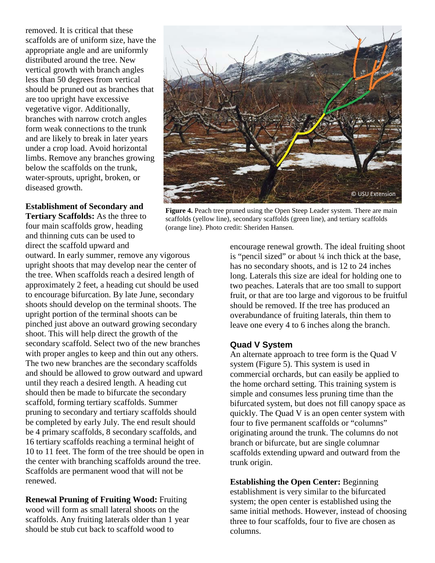removed. It is critical that these scaffolds are of uniform size, have the appropriate angle and are uniformly distributed around the tree. New vertical growth with branch angles less than 50 degrees from vertical should be pruned out as branches that are too upright have excessive vegetative vigor. Additionally, branches with narrow crotch angles form weak connections to the trunk and are likely to break in later years under a crop load. Avoid horizontal limbs. Remove any branches growing below the scaffolds on the trunk, water-sprouts, upright, broken, or diseased growth.

**Establishment of Secondary and Tertiary Scaffolds:** As the three to four main scaffolds grow, heading and thinning cuts can be used to direct the scaffold upward and

outward. In early summer, remove any vigorous upright shoots that may develop near the center of the tree. When scaffolds reach a desired length of approximately 2 feet, a heading cut should be used to encourage bifurcation. By late June, secondary shoots should develop on the terminal shoots. The upright portion of the terminal shoots can be pinched just above an outward growing secondary shoot. This will help direct the growth of the secondary scaffold. Select two of the new branches with proper angles to keep and thin out any others. The two new branches are the secondary scaffolds and should be allowed to grow outward and upward until they reach a desired length. A heading cut should then be made to bifurcate the secondary scaffold, forming tertiary scaffolds. Summer pruning to secondary and tertiary scaffolds should be completed by early July. The end result should be 4 primary scaffolds, 8 secondary scaffolds, and 16 tertiary scaffolds reaching a terminal height of 10 to 11 feet. The form of the tree should be open in the center with branching scaffolds around the tree. Scaffolds are permanent wood that will not be renewed.

**Renewal Pruning of Fruiting Wood:** Fruiting wood will form as small lateral shoots on the scaffolds. Any fruiting laterals older than 1 year should be stub cut back to scaffold wood to



**Figure 4.** Peach tree pruned using the Open Steep Leader system. There are main scaffolds (yellow line), secondary scaffolds (green line), and tertiary scaffolds (orange line). Photo credit: Sheriden Hansen.

encourage renewal growth. The ideal fruiting shoot is "pencil sized" or about ¼ inch thick at the base, has no secondary shoots, and is 12 to 24 inches long. Laterals this size are ideal for holding one to two peaches. Laterals that are too small to support fruit, or that are too large and vigorous to be fruitful should be removed. If the tree has produced an overabundance of fruiting laterals, thin them to leave one every 4 to 6 inches along the branch.

### **Quad V System**

An alternate approach to tree form is the Quad V system (Figure 5). This system is used in commercial orchards, but can easily be applied to the home orchard setting. This training system is simple and consumes less pruning time than the bifurcated system, but does not fill canopy space as quickly. The Quad V is an open center system with four to five permanent scaffolds or "columns" originating around the trunk. The columns do not branch or bifurcate, but are single columnar scaffolds extending upward and outward from the trunk origin.

**Establishing the Open Center:** Beginning establishment is very similar to the bifurcated system; the open center is established using the same initial methods. However, instead of choosing three to four scaffolds, four to five are chosen as columns.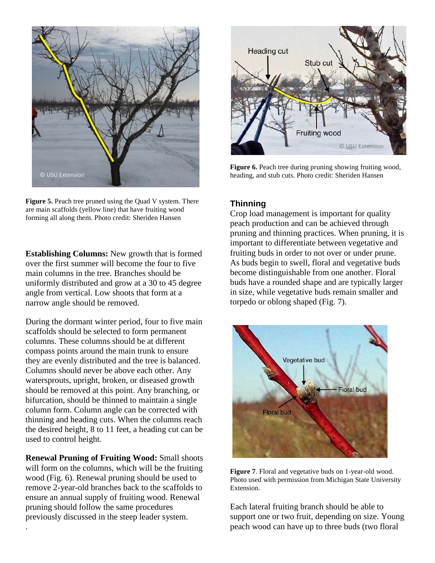

**Figure 5.** Peach tree pruned using the Quad V system. There are main scaffolds (yellow line) that have fruiting wood forming all along them. Photo credit: Sheriden Hansen

**Establishing Columns:** New growth that is formed over the first summer will become the four to five main columns in the tree. Branches should be uniformly distributed and grow at a 30 to 45 degree angle from vertical. Low shoots that form at a narrow angle should be removed.

During the dormant winter period, four to five main scaffolds should be selected to form permanent columns. These columns should be at different compass points around the main trunk to ensure they are evenly distributed and the tree is balanced. Columns should never be above each other. Any watersprouts, upright, broken, or diseased growth should be removed at this point. Any branching, or bifurcation, should be thinned to maintain a single column form. Column angle can be corrected with thinning and heading cuts. When the columns reach the desired height, 8 to 11 feet, a heading cut can be used to control height.

**Renewal Pruning of Fruiting Wood:** Small shoots will form on the columns, which will be the fruiting wood (Fig. 6). Renewal pruning should be used to remove 2-year-old branches back to the scaffolds to ensure an annual supply of fruiting wood. Renewal pruning should follow the same procedures previously discussed in the steep leader system.

.



**Figure 6.** Peach tree during pruning showing fruiting wood, heading, and stub cuts. Photo credit: Sheriden Hansen

## **Thinning**

Crop load management is important for quality peach production and can be achieved through pruning and thinning practices. When pruning, it is important to differentiate between vegetative and fruiting buds in order to not over or under prune. As buds begin to swell, floral and vegetative buds become distinguishable from one another. Floral buds have a rounded shape and are typically larger in size, while vegetative buds remain smaller and torpedo or oblong shaped (Fig. 7).



**Figure 7**. Floral and vegetative buds on 1-year-old wood. Photo used with permission from Michigan State University Extension.

Each lateral fruiting branch should be able to support one or two fruit, depending on size. Young peach wood can have up to three buds (two floral